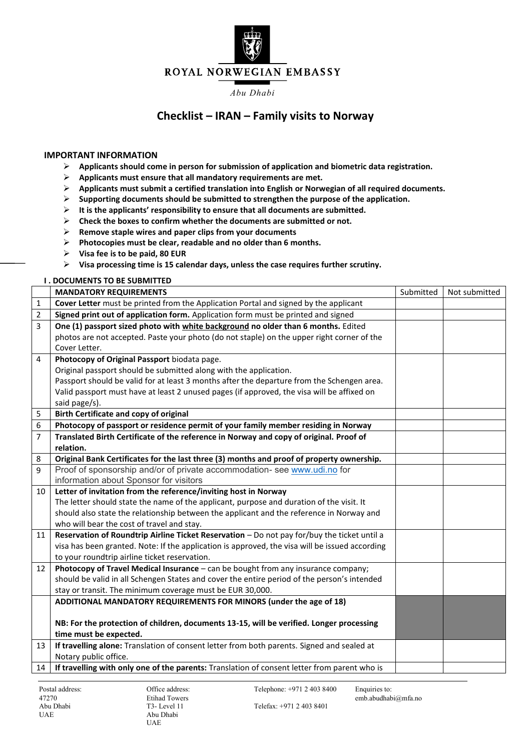

# ROYAL NORWEGIAN EMBASSY

#### *Abu Dhabi*

# **Checklist – IRAN – Family visits to Norway**

## **IMPORTANT INFORMATION**

- ➢ **Applicants should come in person for submission of application and biometric data registration.**
- ➢ **Applicants must ensure that all mandatory requirements are met.**
- ➢ **Applicants must submit a certified translation into English or Norwegian of all required documents.**
- ➢ **Supporting documents should be submitted to strengthen the purpose of the application.**
- ➢ **It is the applicants' responsibility to ensure that all documents are submitted.**
- ➢ **Check the boxes to confirm whether the documents are submitted or not.**
- ➢ **Remove staple wires and paper clips from your documents**
- ➢ **Photocopies must be clear, readable and no older than 6 months.**
- ➢ **Visa fee is to be paid, 80 EUR**
- ➢ **Visa processing time is 15 calendar days, unless the case requires further scrutiny.**

# **I . DOCUMENTS TO BE SUBMITTED**

|                | <b>MANDATORY REQUIREMENTS</b>                                                                  | Submitted | Not submitted |
|----------------|------------------------------------------------------------------------------------------------|-----------|---------------|
| $\mathbf{1}$   | Cover Letter must be printed from the Application Portal and signed by the applicant           |           |               |
| $\overline{2}$ | Signed print out of application form. Application form must be printed and signed              |           |               |
| 3              | One (1) passport sized photo with white background no older than 6 months. Edited              |           |               |
|                | photos are not accepted. Paste your photo (do not staple) on the upper right corner of the     |           |               |
|                | Cover Letter.                                                                                  |           |               |
| $\overline{4}$ | Photocopy of Original Passport biodata page.                                                   |           |               |
|                | Original passport should be submitted along with the application.                              |           |               |
|                | Passport should be valid for at least 3 months after the departure from the Schengen area.     |           |               |
|                | Valid passport must have at least 2 unused pages (if approved, the visa will be affixed on     |           |               |
|                | said page/s).                                                                                  |           |               |
| 5              | <b>Birth Certificate and copy of original</b>                                                  |           |               |
| 6              | Photocopy of passport or residence permit of your family member residing in Norway             |           |               |
| $\overline{7}$ | Translated Birth Certificate of the reference in Norway and copy of original. Proof of         |           |               |
|                | relation.                                                                                      |           |               |
| 8              | Original Bank Certificates for the last three (3) months and proof of property ownership.      |           |               |
| 9              | Proof of sponsorship and/or of private accommodation- see www.udi.no for                       |           |               |
|                | information about Sponsor for visitors                                                         |           |               |
| 10             | Letter of invitation from the reference/inviting host in Norway                                |           |               |
|                | The letter should state the name of the applicant, purpose and duration of the visit. It       |           |               |
|                | should also state the relationship between the applicant and the reference in Norway and       |           |               |
|                | who will bear the cost of travel and stay.                                                     |           |               |
| 11             | Reservation of Roundtrip Airline Ticket Reservation - Do not pay for/buy the ticket until a    |           |               |
|                | visa has been granted. Note: If the application is approved, the visa will be issued according |           |               |
|                | to your roundtrip airline ticket reservation.                                                  |           |               |
| 12             | Photocopy of Travel Medical Insurance - can be bought from any insurance company;              |           |               |
|                | should be valid in all Schengen States and cover the entire period of the person's intended    |           |               |
|                | stay or transit. The minimum coverage must be EUR 30,000.                                      |           |               |
|                | ADDITIONAL MANDATORY REQUIREMENTS FOR MINORS (under the age of 18)                             |           |               |
|                |                                                                                                |           |               |
|                | NB: For the protection of children, documents 13-15, will be verified. Longer processing       |           |               |
|                | time must be expected.                                                                         |           |               |
| 13             | If travelling alone: Translation of consent letter from both parents. Signed and sealed at     |           |               |
|                | Notary public office.                                                                          |           |               |
| 14             | If travelling with only one of the parents: Translation of consent letter from parent who is   |           |               |